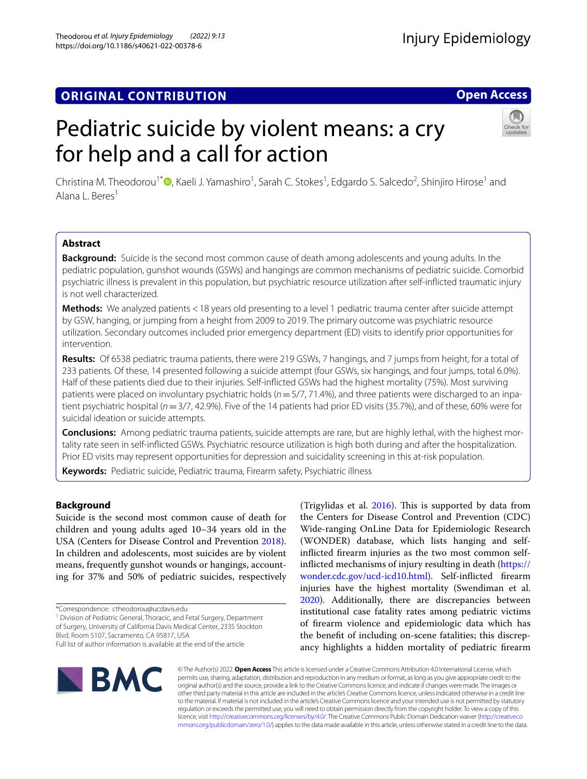# **ORIGINAL CONTRIBUTION**

# Pediatric suicide by violent means: a cry for help and a call for action

Christina M. Theodorou<sup>1[\\*](http://orcid.org/0000-0002-0365-3053)</sup> (D, Kaeli J. Yamashiro<sup>1</sup>, Sarah C. Stokes<sup>1</sup>, Edgardo S. Salcedo<sup>2</sup>, Shinjiro Hirose<sup>1</sup> and Alana L. Beres<sup>1</sup>

# **Abstract**

**Background:** Suicide is the second most common cause of death among adolescents and young adults. In the pediatric population, gunshot wounds (GSWs) and hangings are common mechanisms of pediatric suicide. Comorbid psychiatric illness is prevalent in this population, but psychiatric resource utilization after self-inficted traumatic injury is not well characterized.

**Methods:** We analyzed patients <18 years old presenting to a level 1 pediatric trauma center after suicide attempt by GSW, hanging, or jumping from a height from 2009 to 2019. The primary outcome was psychiatric resource utilization. Secondary outcomes included prior emergency department (ED) visits to identify prior opportunities for intervention.

**Results:** Of 6538 pediatric trauma patients, there were 219 GSWs, 7 hangings, and 7 jumps from height, for a total of 233 patients. Of these, 14 presented following a suicide attempt (four GSWs, six hangings, and four jumps, total 6.0%). Half of these patients died due to their injuries. Self-inficted GSWs had the highest mortality (75%). Most surviving patients were placed on involuntary psychiatric holds (*n*=5/7, 71.4%), and three patients were discharged to an inpatient psychiatric hospital (*n*=3/7, 42.9%). Five of the 14 patients had prior ED visits (35.7%), and of these, 60% were for suicidal ideation or suicide attempts.

**Conclusions:** Among pediatric trauma patients, suicide attempts are rare, but are highly lethal, with the highest mortality rate seen in self-inficted GSWs. Psychiatric resource utilization is high both during and after the hospitalization. Prior ED visits may represent opportunities for depression and suicidality screening in this at-risk population.

**Keywords:** Pediatric suicide, Pediatric trauma, Firearm safety, Psychiatric illness

# **Background**

Suicide is the second most common cause of death for children and young adults aged 10–34 years old in the USA (Centers for Disease Control and Prevention [2018](#page-4-0)). In children and adolescents, most suicides are by violent means, frequently gunshot wounds or hangings, accounting for 37% and 50% of pediatric suicides, respectively

\*Correspondence: ctheodorou@ucdavis.edu

**BMC** 

<sup>1</sup> Division of Pediatric General, Thoracic, and Fetal Surgery, Department of Surgery, University of California Davis Medical Center, 2335 Stockton Blvd, Room 5107, Sacramento, CA 95817, USA Full list of author information is available at the end of the article

> © The Author(s) 2022. **Open Access** This article is licensed under a Creative Commons Attribution 4.0 International License, which permits use, sharing, adaptation, distribution and reproduction in any medium or format, as long as you give appropriate credit to the original author(s) and the source, provide a link to the Creative Commons licence, and indicate if changes were made. The images or other third party material in this article are included in the article's Creative Commons licence, unless indicated otherwise in a credit line to the material. If material is not included in the article's Creative Commons licence and your intended use is not permitted by statutory regulation or exceeds the permitted use, you will need to obtain permission directly from the copyright holder. To view a copy of this licence, visit [http://creativecommons.org/licenses/by/4.0/.](http://creativecommons.org/licenses/by/4.0/) The Creative Commons Public Domain Dedication waiver ([http://creativeco](http://creativecommons.org/publicdomain/zero/1.0/) [mmons.org/publicdomain/zero/1.0/](http://creativecommons.org/publicdomain/zero/1.0/)) applies to the data made available in this article, unless otherwise stated in a credit line to the data.

the Centers for Disease Control and Prevention (CDC) Wide-ranging OnLine Data for Epidemiologic Research (WONDER) database, which lists hanging and selfinficted frearm injuries as the two most common selfinficted mechanisms of injury resulting in death [\(https://](https://wonder.cdc.gov/ucd-icd10.html) [wonder.cdc.gov/ucd-icd10.html\)](https://wonder.cdc.gov/ucd-icd10.html). Self-inficted frearm injuries have the highest mortality (Swendiman et al. [2020](#page-4-2)). Additionally, there are discrepancies between institutional case fatality rates among pediatric victims of frearm violence and epidemiologic data which has the beneft of including on-scene fatalities; this discrepancy highlights a hidden mortality of pediatric frearm

(Trigylidas et al.  $2016$ ). This is supported by data from



**Open Access**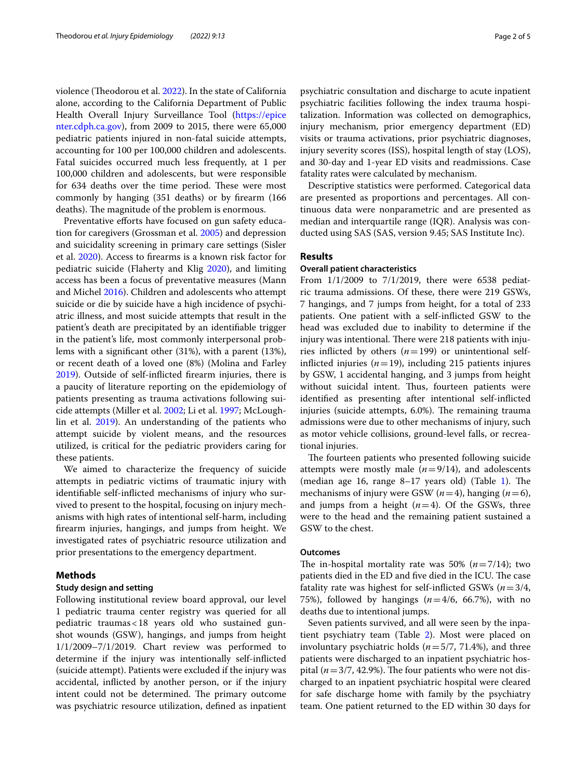violence (Theodorou et al. [2022](#page-4-3)). In the state of California alone, according to the California Department of Public Health Overall Injury Surveillance Tool ([https://epice](https://epicenter.cdph.ca.gov) [nter.cdph.ca.gov](https://epicenter.cdph.ca.gov)), from 2009 to 2015, there were 65,000 pediatric patients injured in non-fatal suicide attempts, accounting for 100 per 100,000 children and adolescents. Fatal suicides occurred much less frequently, at 1 per 100,000 children and adolescents, but were responsible for 634 deaths over the time period. These were most commonly by hanging (351 deaths) or by frearm (166 deaths). The magnitude of the problem is enormous.

Preventative efforts have focused on gun safety education for caregivers (Grossman et al. [2005](#page-4-4)) and depression and suicidality screening in primary care settings (Sisler et al. [2020](#page-4-5)). Access to frearms is a known risk factor for pediatric suicide (Flaherty and Klig [2020\)](#page-4-6), and limiting access has been a focus of preventative measures (Mann and Michel [2016\)](#page-4-7). Children and adolescents who attempt suicide or die by suicide have a high incidence of psychiatric illness, and most suicide attempts that result in the patient's death are precipitated by an identifable trigger in the patient's life, most commonly interpersonal problems with a signifcant other (31%), with a parent (13%), or recent death of a loved one (8%) (Molina and Farley [2019](#page-4-8)). Outside of self-inficted frearm injuries, there is a paucity of literature reporting on the epidemiology of patients presenting as trauma activations following suicide attempts (Miller et al. [2002](#page-4-9); Li et al. [1997;](#page-4-10) McLoughlin et al. [2019\)](#page-4-11). An understanding of the patients who attempt suicide by violent means, and the resources utilized, is critical for the pediatric providers caring for these patients.

We aimed to characterize the frequency of suicide attempts in pediatric victims of traumatic injury with identifable self-inficted mechanisms of injury who survived to present to the hospital, focusing on injury mechanisms with high rates of intentional self-harm, including frearm injuries, hangings, and jumps from height. We investigated rates of psychiatric resource utilization and prior presentations to the emergency department.

# **Methods**

# **Study design and setting**

Following institutional review board approval, our level 1 pediatric trauma center registry was queried for all pediatric traumas<18 years old who sustained gunshot wounds (GSW), hangings, and jumps from height 1/1/2009–7/1/2019. Chart review was performed to determine if the injury was intentionally self-inficted (suicide attempt). Patients were excluded if the injury was accidental, inficted by another person, or if the injury intent could not be determined. The primary outcome was psychiatric resource utilization, defned as inpatient psychiatric consultation and discharge to acute inpatient psychiatric facilities following the index trauma hospitalization. Information was collected on demographics, injury mechanism, prior emergency department (ED) visits or trauma activations, prior psychiatric diagnoses, injury severity scores (ISS), hospital length of stay (LOS), and 30-day and 1-year ED visits and readmissions. Case fatality rates were calculated by mechanism.

Descriptive statistics were performed. Categorical data are presented as proportions and percentages. All continuous data were nonparametric and are presented as median and interquartile range (IQR). Analysis was conducted using SAS (SAS, version 9.45; SAS Institute Inc).

# **Results**

# **Overall patient characteristics**

From 1/1/2009 to 7/1/2019, there were 6538 pediatric trauma admissions. Of these, there were 219 GSWs, 7 hangings, and 7 jumps from height, for a total of 233 patients. One patient with a self-inficted GSW to the head was excluded due to inability to determine if the injury was intentional. There were 218 patients with injuries inflicted by others  $(n=199)$  or unintentional selfinflicted injuries  $(n=19)$ , including 215 patients injures by GSW, 1 accidental hanging, and 3 jumps from height without suicidal intent. Thus, fourteen patients were identifed as presenting after intentional self-inficted injuries (suicide attempts, 6.0%). The remaining trauma admissions were due to other mechanisms of injury, such as motor vehicle collisions, ground-level falls, or recreational injuries.

The fourteen patients who presented following suicide attempts were mostly male  $(n=9/14)$ , and adolescents (median age [1](#page-2-0)6, range  $8-17$  years old) (Table 1). The mechanisms of injury were GSW (*n*=4), hanging (*n*=6), and jumps from a height  $(n=4)$ . Of the GSWs, three were to the head and the remaining patient sustained a GSW to the chest.

# **Outcomes**

The in-hospital mortality rate was 50%  $(n=7/14)$ ; two patients died in the ED and five died in the ICU. The case fatality rate was highest for self-inficted GSWs (*n*=3/4, 75%), followed by hangings (*n*=4/6, 66.7%), with no deaths due to intentional jumps.

Seven patients survived, and all were seen by the inpatient psychiatry team (Table [2](#page-2-1)). Most were placed on involuntary psychiatric holds (*n*=5/7, 71.4%), and three patients were discharged to an inpatient psychiatric hospital ( $n=3/7$ , 42.9%). The four patients who were not discharged to an inpatient psychiatric hospital were cleared for safe discharge home with family by the psychiatry team. One patient returned to the ED within 30 days for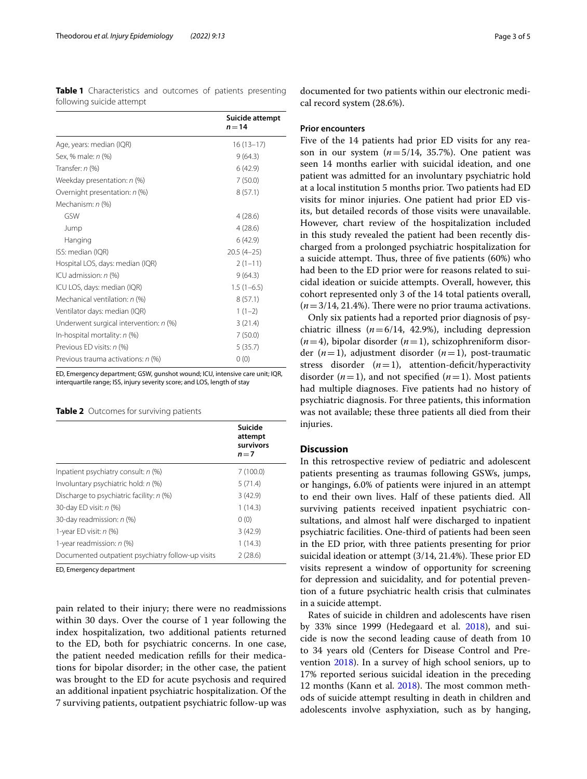<span id="page-2-0"></span>**Table 1** Characteristics and outcomes of patients presenting following suicide attempt

|                                          | Suicide attempt<br>$n = 14$ |
|------------------------------------------|-----------------------------|
| Age, years: median (IQR)                 | $16(13-17)$                 |
| Sex, % male: n (%)                       | 9(64.3)                     |
| Transfer: $n$ (%)                        | 6(42.9)                     |
| Weekday presentation: n (%)              | 7(50.0)                     |
| Overnight presentation: n (%)            | 8(57.1)                     |
| Mechanism: n (%)                         |                             |
| GSW                                      | 4(28.6)                     |
| Jump                                     | 4(28.6)                     |
| Hanging                                  | 6(42.9)                     |
| ISS: median (IQR)                        | $20.5(4-25)$                |
| Hospital LOS, days: median (IQR)         | $2(1-11)$                   |
| ICU admission: $n$ (%)                   | 9(64.3)                     |
| ICU LOS, days: median (IQR)              | $1.5(1-6.5)$                |
| Mechanical ventilation: n (%)            | 8(57.1)                     |
| Ventilator days: median (IQR)            | $1(1-2)$                    |
| Underwent surgical intervention: $n$ (%) | 3(21.4)                     |
| In-hospital mortality: $n$ (%)           | 7(50.0)                     |
| Previous ED visits: n (%)                | 5(35.7)                     |
| Previous trauma activations: n (%)       | 0(0)                        |

ED, Emergency department; GSW, gunshot wound; ICU, intensive care unit; IQR, interquartile range; ISS, injury severity score; and LOS, length of stay

## <span id="page-2-1"></span>**Table 2** Outcomes for surviving patients

|                                                   | Suicide<br>attempt<br>survivors<br>$n = 7$ |
|---------------------------------------------------|--------------------------------------------|
| Inpatient psychiatry consult: $n$ (%)             | 7(100.0)                                   |
| Involuntary psychiatric hold: n (%)               | 5(71.4)                                    |
| Discharge to psychiatric facility: n (%)          | 3(42.9)                                    |
| 30-day ED visit: n (%)                            | 1(14.3)                                    |
| 30-day readmission: n (%)                         | 0(0)                                       |
| 1-year ED visit: $n$ (%)                          | 3(42.9)                                    |
| 1-year readmission: $n$ (%)                       | 1(14.3)                                    |
| Documented outpatient psychiatry follow-up visits | 2(28.6)                                    |

ED, Emergency department

pain related to their injury; there were no readmissions within 30 days. Over the course of 1 year following the index hospitalization, two additional patients returned to the ED, both for psychiatric concerns. In one case, the patient needed medication reflls for their medications for bipolar disorder; in the other case, the patient was brought to the ED for acute psychosis and required an additional inpatient psychiatric hospitalization. Of the 7 surviving patients, outpatient psychiatric follow-up was

documented for two patients within our electronic medical record system (28.6%).

#### **Prior encounters**

Five of the 14 patients had prior ED visits for any reason in our system  $(n=5/14, 35.7%)$ . One patient was seen 14 months earlier with suicidal ideation, and one patient was admitted for an involuntary psychiatric hold at a local institution 5 months prior. Two patients had ED visits for minor injuries. One patient had prior ED visits, but detailed records of those visits were unavailable. However, chart review of the hospitalization included in this study revealed the patient had been recently discharged from a prolonged psychiatric hospitalization for a suicide attempt. Thus, three of five patients (60%) who had been to the ED prior were for reasons related to suicidal ideation or suicide attempts. Overall, however, this cohort represented only 3 of the 14 total patients overall,  $(n=3/14, 21.4\%)$ . There were no prior trauma activations.

Only six patients had a reported prior diagnosis of psychiatric illness  $(n=6/14, 42.9%)$ , including depression  $(n=4)$ , bipolar disorder  $(n=1)$ , schizophreniform disorder (*n*=1), adjustment disorder (*n*=1), post-traumatic stress disorder  $(n=1)$ , attention-deficit/hyperactivity disorder  $(n=1)$ , and not specified  $(n=1)$ . Most patients had multiple diagnoses. Five patients had no history of psychiatric diagnosis. For three patients, this information was not available; these three patients all died from their injuries.

# **Discussion**

In this retrospective review of pediatric and adolescent patients presenting as traumas following GSWs, jumps, or hangings, 6.0% of patients were injured in an attempt to end their own lives. Half of these patients died. All surviving patients received inpatient psychiatric consultations, and almost half were discharged to inpatient psychiatric facilities. One-third of patients had been seen in the ED prior, with three patients presenting for prior suicidal ideation or attempt  $(3/14, 21.4%)$ . These prior ED visits represent a window of opportunity for screening for depression and suicidality, and for potential prevention of a future psychiatric health crisis that culminates in a suicide attempt.

Rates of suicide in children and adolescents have risen by 33% since 1999 (Hedegaard et al. [2018](#page-4-12)), and suicide is now the second leading cause of death from 10 to 34 years old (Centers for Disease Control and Prevention [2018\)](#page-4-0). In a survey of high school seniors, up to 17% reported serious suicidal ideation in the preceding 12 months (Kann et al. [2018](#page-4-13)). The most common methods of suicide attempt resulting in death in children and adolescents involve asphyxiation, such as by hanging,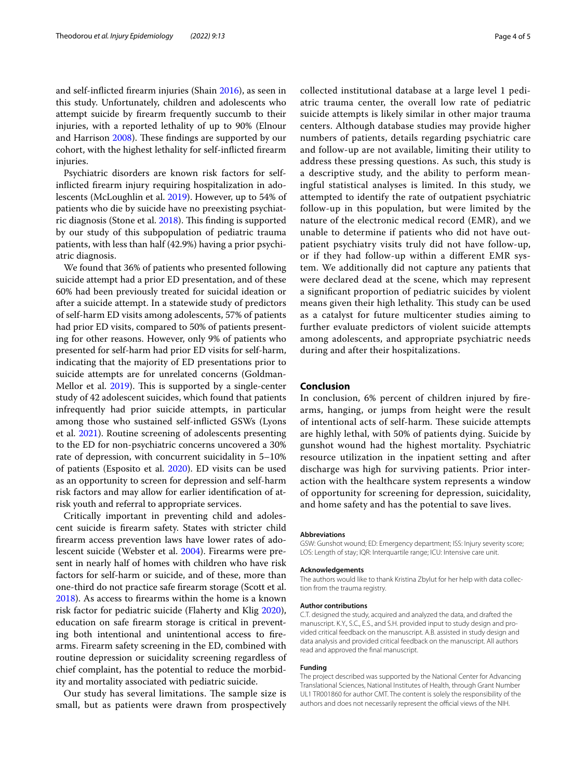and self-inficted frearm injuries (Shain [2016\)](#page-4-14), as seen in this study. Unfortunately, children and adolescents who attempt suicide by frearm frequently succumb to their injuries, with a reported lethality of up to 90% (Elnour and Harrison [2008\)](#page-4-15). These findings are supported by our cohort, with the highest lethality for self-inficted frearm injuries.

Psychiatric disorders are known risk factors for selfinficted frearm injury requiring hospitalization in adolescents (McLoughlin et al. [2019\)](#page-4-11). However, up to 54% of patients who die by suicide have no preexisting psychiat-ric diagnosis (Stone et al. [2018\)](#page-4-16). This finding is supported by our study of this subpopulation of pediatric trauma patients, with less than half (42.9%) having a prior psychiatric diagnosis.

We found that 36% of patients who presented following suicide attempt had a prior ED presentation, and of these 60% had been previously treated for suicidal ideation or after a suicide attempt. In a statewide study of predictors of self-harm ED visits among adolescents, 57% of patients had prior ED visits, compared to 50% of patients presenting for other reasons. However, only 9% of patients who presented for self-harm had prior ED visits for self-harm, indicating that the majority of ED presentations prior to suicide attempts are for unrelated concerns (Goldman-Mellor et al.  $2019$ ). This is supported by a single-center study of 42 adolescent suicides, which found that patients infrequently had prior suicide attempts, in particular among those who sustained self-inficted GSWs (Lyons et al. [2021\)](#page-4-18). Routine screening of adolescents presenting to the ED for non-psychiatric concerns uncovered a 30% rate of depression, with concurrent suicidality in 5–10% of patients (Esposito et al. [2020](#page-4-19)). ED visits can be used as an opportunity to screen for depression and self-harm risk factors and may allow for earlier identifcation of atrisk youth and referral to appropriate services.

Critically important in preventing child and adolescent suicide is frearm safety. States with stricter child frearm access prevention laws have lower rates of adolescent suicide (Webster et al. [2004](#page-4-20)). Firearms were present in nearly half of homes with children who have risk factors for self-harm or suicide, and of these, more than one-third do not practice safe frearm storage (Scott et al. [2018](#page-4-21)). As access to frearms within the home is a known risk factor for pediatric suicide (Flaherty and Klig [2020](#page-4-6)), education on safe frearm storage is critical in preventing both intentional and unintentional access to frearms. Firearm safety screening in the ED, combined with routine depression or suicidality screening regardless of chief complaint, has the potential to reduce the morbidity and mortality associated with pediatric suicide.

Our study has several limitations. The sample size is small, but as patients were drawn from prospectively collected institutional database at a large level 1 pediatric trauma center, the overall low rate of pediatric suicide attempts is likely similar in other major trauma centers. Although database studies may provide higher numbers of patients, details regarding psychiatric care and follow-up are not available, limiting their utility to address these pressing questions. As such, this study is a descriptive study, and the ability to perform meaningful statistical analyses is limited. In this study, we attempted to identify the rate of outpatient psychiatric follow-up in this population, but were limited by the nature of the electronic medical record (EMR), and we unable to determine if patients who did not have outpatient psychiatry visits truly did not have follow-up, or if they had follow-up within a diferent EMR system. We additionally did not capture any patients that were declared dead at the scene, which may represent a signifcant proportion of pediatric suicides by violent means given their high lethality. This study can be used

as a catalyst for future multicenter studies aiming to further evaluate predictors of violent suicide attempts among adolescents, and appropriate psychiatric needs during and after their hospitalizations.

# **Conclusion**

In conclusion, 6% percent of children injured by frearms, hanging, or jumps from height were the result of intentional acts of self-harm. These suicide attempts are highly lethal, with 50% of patients dying. Suicide by gunshot wound had the highest mortality. Psychiatric resource utilization in the inpatient setting and after discharge was high for surviving patients. Prior interaction with the healthcare system represents a window of opportunity for screening for depression, suicidality, and home safety and has the potential to save lives.

#### **Abbreviations**

GSW: Gunshot wound; ED: Emergency department; ISS: Injury severity score; LOS: Length of stay; IQR: Interquartile range; ICU: Intensive care unit.

#### **Acknowledgements**

The authors would like to thank Kristina Zbylut for her help with data collection from the trauma registry.

#### **Author contributions**

C.T. designed the study, acquired and analyzed the data, and drafted the manuscript. K.Y., S.C., E.S., and S.H. provided input to study design and provided critical feedback on the manuscript. A.B. assisted in study design and data analysis and provided critical feedback on the manuscript. All authors read and approved the fnal manuscript.

#### **Funding**

The project described was supported by the National Center for Advancing Translational Sciences, National Institutes of Health, through Grant Number UL1 TR001860 for author CMT. The content is solely the responsibility of the authors and does not necessarily represent the official views of the NIH.